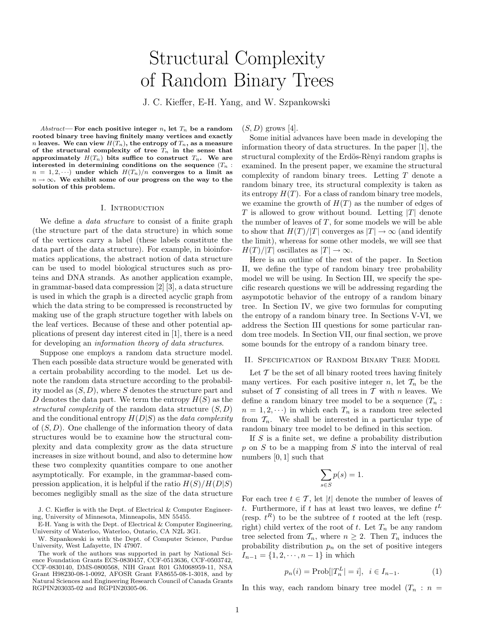# Structural Complexity of Random Binary Trees

J. C. Kieffer, E-H. Yang, and W. Szpankowski

Abstract— For each positive integer n, let  $T_n$  be a random rooted binary tree having finitely many vertices and exactly *n* leaves. We can view  $H(T_n)$ , the entropy of  $T_n$ , as a measure of the structural complexity of tree  $T_n$  in the sense that approximately  $H(T_n)$  bits suffice to construct  $T_n$ . We are interested in determining conditions on the sequence  $(T_n :$  $n = 1, 2, \dots$ ) under which  $H(T_n)/n$  converges to a limit as  $n \to \infty$ . We exhibit some of our progress on the way to the solution of this problem.

## I. INTRODUCTION

We define a data structure to consist of a finite graph (the structure part of the data structure) in which some of the vertices carry a label (these labels constitute the data part of the data structure). For example, in bioinformatics applications, the abstract notion of data structure can be used to model biological structures such as proteins and DNA strands. As another application example, in grammar-based data compression [2] [3], a data structure is used in which the graph is a directed acyclic graph from which the data string to be compressed is reconstructed by making use of the graph structure together with labels on the leaf vertices. Because of these and other potential applications of present day interest cited in [1], there is a need for developing an information theory of data structures.

Suppose one employs a random data structure model. Then each possible data structure would be generated with a certain probability according to the model. Let us denote the random data structure according to the probability model as  $(S, D)$ , where S denotes the structure part and D denotes the data part. We term the entropy  $H(S)$  as the structural complexity of the random data structure  $(S, D)$ and the conditional entropy  $H(D|S)$  as the *data complexity* of  $(S, D)$ . One challenge of the information theory of data structures would be to examine how the structural complexity and data complexity grow as the data structure increases in size without bound, and also to determine how these two complexity quantities compare to one another asymptotically. For example, in the grammar-based compression application, it is helpful if the ratio  $H(S)/H(D|S)$ becomes negligibly small as the size of the data structure

J. C. Kieffer is with the Dept. of Electrical & Computer Engineering, University of Minnesota, Minneapolis, MN 55455.

E-H. Yang is with the Dept. of Electrical & Computer Engineering, University of Waterloo, Waterloo, Ontario, CA N2L 3G1.

W. Szpankowski is with the Dept. of Computer Science, Purdue University, West Lafayette, IN 47907.

The work of the authors was supported in part by National Science Foundation Grants ECS-0830457, CCF-0513636, CCF-0503742, CCF-0830140, DMS-0800568, NIH Grant R01 GM068959-11, NSA Grant H98230-08-1-0092, AFOSR Grant FA8655-08-1-3018, and by Natural Sciences and Engineering Research Council of Canada Grants RGPIN203035-02 and RGPIN20305-06.

Some initial advances have been made in developing the information theory of data structures. In the paper [1], the

 $(S, D)$  grows [4].

structural complexity of the Erdös-Rènyi random graphs is examined. In the present paper, we examine the structural complexity of random binary trees. Letting  $T$  denote a random binary tree, its structural complexity is taken as its entropy  $H(T)$ . For a class of random binary tree models, we examine the growth of  $H(T)$  as the number of edges of  $T$  is allowed to grow without bound. Letting  $|T|$  denote the number of leaves of  $T$ , for some models we will be able to show that  $H(T)/|T|$  converges as  $|T| \to \infty$  (and identify the limit), whereas for some other models, we will see that  $H(T)/|T|$  oscillates as  $|T| \to \infty$ .

Here is an outline of the rest of the paper. In Section II, we define the type of random binary tree probability model we will be using. In Section III, we specify the specific research questions we will be addressing regarding the asympototic behavior of the entropy of a random binary tree. In Section IV, we give two formulas for computing the entropy of a random binary tree. In Sections V-VI, we address the Section III questions for some particular random tree models. In Section VII, our final section, we prove some bounds for the entropy of a random binary tree.

## II. Specification of Random Binary Tree Model

Let  $\mathcal T$  be the set of all binary rooted trees having finitely many vertices. For each positive integer n, let  $\mathcal{T}_n$  be the subset of  $\mathcal T$  consisting of all trees in  $\mathcal T$  with n leaves. We define a random binary tree model to be a sequence  $(T_n :$  $n = 1, 2, \dots$  in which each  $T_n$  is a random tree selected from  $\mathcal{T}_n$ . We shall be interested in a particular type of random binary tree model to be defined in this section.

If  $S$  is a finite set, we define a probability distribution  $p$  on  $S$  to be a mapping from  $S$  into the interval of real numbers [0, 1] such that

$$
\sum_{s \in S} p(s) = 1.
$$

For each tree  $t \in \mathcal{T}$ , let |t| denote the number of leaves of t. Furthermore, if t has at least two leaves, we define  $t^L$ (resp.  $t^R$ ) to be the subtree of t rooted at the left (resp. right) child vertex of the root of t. Let  $T_n$  be any random tree selected from  $\mathcal{T}_n$ , where  $n \geq 2$ . Then  $\mathcal{T}_n$  induces the probability distribution  $p_n$  on the set of positive integers  $I_{n-1} = \{1, 2, \dots, n-1\}$  in which

$$
p_n(i) = \text{Prob}[|T_n^L| = i], \ \ i \in I_{n-1}.
$$
 (1)

In this way, each random binary tree model  $(T_n : n =$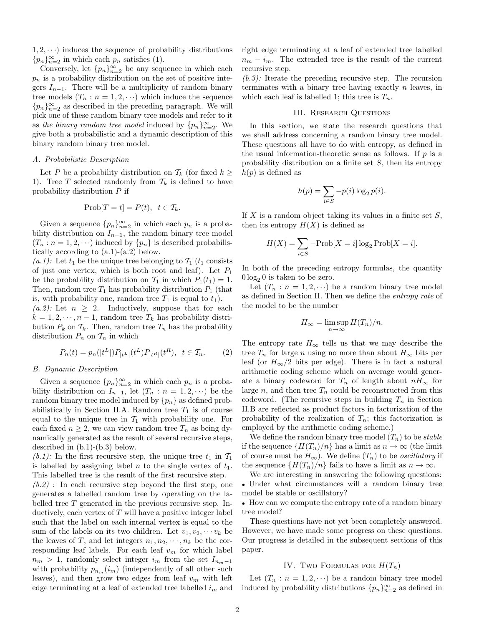$1, 2, \dots$ ) induces the sequence of probability distributions  ${p_n}_{n=2}^{\infty}$  in which each  $p_n$  satisfies (1).

Conversely, let  $\{p_n\}_{n=2}^{\infty}$  be any sequence in which each  $p_n$  is a probability distribution on the set of positive integers  $I_{n-1}$ . There will be a multiplicity of random binary tree models  $(T_n : n = 1, 2, \cdots)$  which induce the sequence  ${p_n}_{n=2}^{\infty}$  as described in the preceding paragraph. We will pick one of these random binary tree models and refer to it as the binary random tree model induced by  ${p_n}_{n=2}^{\infty}$ . We give both a probabilistic and a dynamic description of this binary random binary tree model.

## A. Probabilistic Description

Let P be a probability distribution on  $\mathcal{T}_k$  (for fixed  $k \geq$ 1). Tree T selected randomly from  $\mathcal{T}_k$  is defined to have probability distribution P if

$$
Prob[T = t] = P(t), \ \ t \in \mathcal{T}_k.
$$

Given a sequence  ${p_n}_{n=2}^{\infty}$  in which each  $p_n$  is a probability distribution on  $I_{n-1}$ , the random binary tree model  $(T_n : n = 1, 2, \cdots)$  induced by  $\{p_n\}$  is described probabilistically according to  $(a.1)-(a.2)$  below.

(a.1): Let  $t_1$  be the unique tree belonging to  $\mathcal{T}_1$  ( $t_1$  consists of just one vertex, which is both root and leaf). Let  $P_1$ be the probability distribution on  $\mathcal{T}_1$  in which  $P_1(t_1) = 1$ . Then, random tree  $T_1$  has probability distribution  $P_1$  (that is, with probability one, random tree  $T_1$  is equal to  $t_1$ ).  $(a.2)$ : Let  $n \geq 2$ . Inductively, suppose that for each  $k = 1, 2, \dots, n-1$ , random tree  $T_k$  has probability distribution  $P_k$  on  $\mathcal{T}_k$ . Then, random tree  $T_n$  has the probability distribution  $P_n$  on  $\mathcal{T}_n$  in which

$$
P_n(t) = p_n(|t^L|) P_{|t^L|}(t^L) P_{|t^R|}(t^R), \ \ t \in \mathcal{T}_n. \tag{2}
$$

## B. Dynamic Description

Given a sequence  ${p_n}_{n=2}^{\infty}$  in which each  $p_n$  is a probability distribution on  $I_{n-1}$ , let  $(T_n : n = 1, 2, \cdots)$  be the random binary tree model induced by  $\{p_n\}$  as defined probabilistically in Section II.A. Random tree  $T_1$  is of course equal to the unique tree in  $\mathcal{T}_1$  with probability one. For each fixed  $n \geq 2$ , we can view random tree  $T_n$  as being dynamically generated as the result of several recursive steps, described in (b.1)-(b.3) below.

(b.1): In the first recursive step, the unique tree  $t_1$  in  $\mathcal{T}_1$ is labelled by assigning label  $n$  to the single vertex of  $t_1$ . This labelled tree is the result of the first recursive step.

 $(b.2)$ : In each recursive step beyond the first step, one generates a labelled random tree by operating on the labelled tree  $T$  generated in the previous recursive step. Inductively, each vertex of  $T$  will have a positive integer label such that the label on each internal vertex is equal to the sum of the labels on its two children. Let  $v_1, v_2, \cdots v_k$  be the leaves of T, and let integers  $n_1, n_2, \dots, n_k$  be the corresponding leaf labels. For each leaf  $v_m$  for which label  $n_m > 1$ , randomly select integer  $i_m$  from the set  $I_{n_m-1}$ with probability  $p_{n_m}(i_m)$  (independently of all other such leaves), and then grow two edges from leaf  $v_m$  with left edge terminating at a leaf of extended tree labelled  $i_m$  and right edge terminating at a leaf of extended tree labelled  $n_m - i_m$ . The extended tree is the result of the current recursive step.

 $(b.3)$ : Iterate the preceding recursive step. The recursion terminates with a binary tree having exactly  $n$  leaves, in which each leaf is labelled 1; this tree is  $T_n$ .

## III. Research Questions

In this section, we state the research questions that we shall address concerning a random binary tree model. These questions all have to do with entropy, as defined in the usual information-theoretic sense as follows. If  $p$  is a probability distribution on a finite set  $S$ , then its entropy  $h(p)$  is defined as

$$
h(p) = \sum_{i \in S} -p(i) \log_2 p(i).
$$

If  $X$  is a random object taking its values in a finite set  $S$ , then its entropy  $H(X)$  is defined as

$$
H(X) = \sum_{i \in S} -\text{Prob}[X = i] \log_2 \text{Prob}[X = i].
$$

In both of the preceding entropy formulas, the quantity  $0 \log_2 0$  is taken to be zero.

Let  $(T_n : n = 1, 2, \dots)$  be a random binary tree model as defined in Section II. Then we define the entropy rate of the model to be the number

$$
H_{\infty} = \limsup_{n \to \infty} H(T_n)/n.
$$

The entropy rate  $H_{\infty}$  tells us that we may describe the tree  $T_n$  for large n using no more than about  $H_{\infty}$  bits per leaf (or  $H_{\infty}/2$  bits per edge). There is in fact a natural arithmetic coding scheme which on average would generate a binary codeword for  $T_n$  of length about  $nH_{\infty}$  for large  $n$ , and then tree  $T_n$  could be reconstructed from this codeword. (The recursive steps in building  $T_n$  in Section II.B are reflected as product factors in factorization of the probability of the realization of  $T_n$ ; this factorization is employed by the arithmetic coding scheme.)

We define the random binary tree model  $(T_n)$  to be *stable* if the sequence  $\{H(T_n)/n\}$  has a limit as  $n \to \infty$  (the limit of course must be  $H_{\infty}$ ). We define  $(T_n)$  to be *oscillatory* if the sequence  $\{H(T_n)/n\}$  fails to have a limit as  $n \to \infty$ .

We are interesting in answering the following questions: Under what circumstances will a random binary tree model be stable or oscillatory?

• How can we compute the entropy rate of a random binary tree model?

These questions have not yet been completely answered. However, we have made some progress on these questions. Our progress is detailed in the subsequent sections of this paper.

## IV. Two FORMULAS FOR  $H(T_n)$

Let  $(T_n : n = 1, 2, \dots)$  be a random binary tree model induced by probability distributions  ${p_n}_{n=2}^{\infty}$  as defined in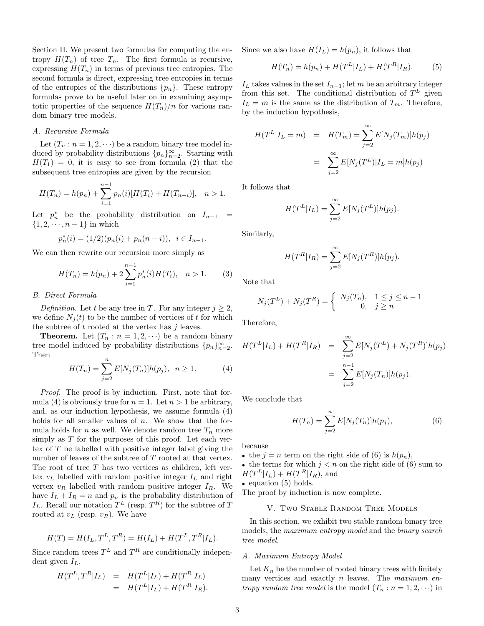Section II. We present two formulas for computing the entropy  $H(T_n)$  of tree  $T_n$ . The first formula is recursive, expressing  $H(T_n)$  in terms of previous tree entropies. The second formula is direct, expressing tree entropies in terms of the entropies of the distributions  $\{p_n\}$ . These entropy formulas prove to be useful later on in examining asymptotic properties of the sequence  $H(T_n)/n$  for various random binary tree models.

## A. Recursive Formula

Let  $(T_n : n = 1, 2, \dots)$  be a random binary tree model induced by probability distributions  ${p_n}_{n=2}^{\infty}$ . Starting with  $H(T_1) = 0$ , it is easy to see from formula (2) that the subsequent tree entropies are given by the recursion

$$
H(T_n) = h(p_n) + \sum_{i=1}^{n-1} p_n(i) [H(T_i) + H(T_{n-i})], \quad n > 1.
$$

Let  $p_n^*$  be the probability distribution on  $I_{n-1}$  =  $\{1, 2, \dots, n-1\}$  in which

$$
p_n^*(i) = (1/2)(p_n(i) + p_n(n-i)), \ \ i \in I_{n-1}.
$$

We can then rewrite our recursion more simply as

$$
H(T_n) = h(p_n) + 2\sum_{i=1}^{n-1} p_n^*(i)H(T_i), \quad n > 1.
$$
 (3)

#### B. Direct Formula

Definition. Let t be any tree in T. For any integer  $j \geq 2$ , we define  $N_i(t)$  to be the number of vertices of t for which the subtree of  $t$  rooted at the vertex has  $j$  leaves.

**Theorem.** Let  $(T_n : n = 1, 2, \cdots)$  be a random binary tree model induced by probability distributions  $\{p_n\}_{n=2}^{\infty}$ . Then

$$
H(T_n) = \sum_{j=2}^{n} E[N_j(T_n)]h(p_j), \ \ n \ge 1.
$$
 (4)

Proof. The proof is by induction. First, note that formula (4) is obviously true for  $n = 1$ . Let  $n > 1$  be arbitrary, and, as our induction hypothesis, we assume formula (4) holds for all smaller values of  $n$ . We show that the formula holds for n as well. We denote random tree  $T_n$  more simply as  $T$  for the purposes of this proof. Let each vertex of T be labelled with positive integer label giving the number of leaves of the subtree of T rooted at that vertex. The root of tree  $T$  has two vertices as children, left vertex  $v_L$  labelled with random positive integer  $I_L$  and right vertex  $v_R$  labelled with random positive integer  $I_R$ . We have  $I_L + I_R = n$  and  $p_n$  is the probability distribution of  $I_L$ . Recall our notation  $T^L$  (resp.  $T^R$ ) for the subtree of T rooted at  $v_L$  (resp.  $v_R$ ). We have

$$
H(T) = H(I_L, T^L, T^R) = H(I_L) + H(T^L, T^R | I_L).
$$

Since random trees  $T^L$  and  $T^R$  are conditionally independent given  $I_L$ ,

$$
H(T^{L}, T^{R}|I_{L}) = H(T^{L}|I_{L}) + H(T^{R}|I_{L})
$$
  
= 
$$
H(T^{L}|I_{L}) + H(T^{R}|I_{R}).
$$

Since we also have  $H(I_L) = h(p_n)$ , it follows that

$$
H(T_n) = h(p_n) + H(T^L|I_L) + H(T^R|I_R).
$$
 (5)

 $I_L$  takes values in the set  $I_{n-1}$ ; let m be an arbitrary integer from this set. The conditional distribution of  $T<sup>L</sup>$  given  $I_L = m$  is the same as the distribution of  $T_m$ . Therefore, by the induction hypothesis,

$$
H(T^{L}|I_{L} = m) = H(T_{m}) = \sum_{j=2}^{\infty} E[N_{j}(T_{m})]h(p_{j})
$$

$$
= \sum_{j=2}^{\infty} E[N_{j}(T^{L})|I_{L} = m]h(p_{j})
$$

It follows that

$$
H(T^L|I_L) = \sum_{j=2}^{\infty} E[N_j(T^L)]h(p_j).
$$

Similarly,

$$
H(T^R|I_R) = \sum_{j=2}^{\infty} E[N_j(T^R)]h(p_j).
$$

Note that

$$
N_j(T^L) + N_j(T^R) = \begin{cases} N_j(T_n), & 1 \le j \le n - 1 \\ 0, & j \ge n \end{cases}
$$

Therefore,

$$
H(T^{L}|I_{L}) + H(T^{R}|I_{R}) = \sum_{j=2}^{\infty} E[N_{j}(T^{L}) + N_{j}(T^{R})]h(p_{j})
$$
  
= 
$$
\sum_{j=2}^{n-1} E[N_{j}(T_{n})]h(p_{j}).
$$

We conclude that

$$
H(T_n) = \sum_{j=2}^{n} E[N_j(T_n)]h(p_j),
$$
 (6)

because

- the  $j = n$  term on the right side of (6) is  $h(p_n)$ ,
- the terms for which  $j < n$  on the right side of (6) sum to  $H(T^L|I_L) + H(T^R|I_R)$ , and

• equation (5) holds.

The proof by induction is now complete.

## V. Two Stable Random Tree Models

In this section, we exhibit two stable random binary tree models, the maximum entropy model and the binary search tree model.

## A. Maximum Entropy Model

Let  $K_n$  be the number of rooted binary trees with finitely many vertices and exactly  $n$  leaves. The maximum entropy random tree model is the model  $(T_n : n = 1, 2, \cdots)$  in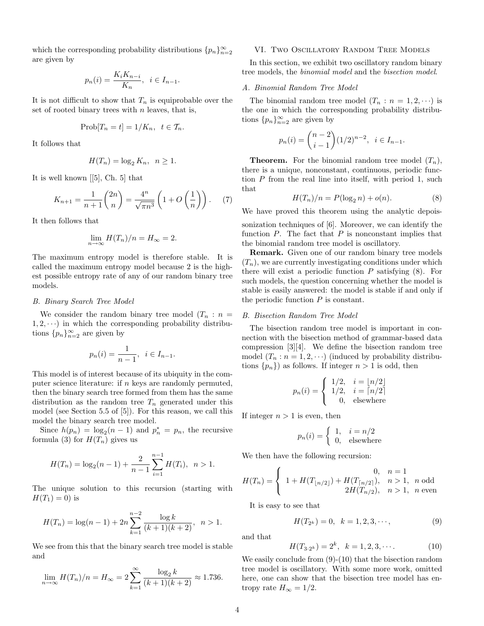which the corresponding probability distributions  ${p_n}_{n=2}^{\infty}$ are given by

$$
p_n(i) = \frac{K_i K_{n-i}}{K_n}, \quad i \in I_{n-1}.
$$

It is not difficult to show that  $T_n$  is equiprobable over the set of rooted binary trees with  $n$  leaves, that is,

$$
Prob[T_n = t] = 1/K_n, t \in T_n.
$$

It follows that

$$
H(T_n) = \log_2 K_n, \ \ n \ge 1.
$$

It is well known [[5], Ch. 5] that

$$
K_{n+1} = \frac{1}{n+1} \binom{2n}{n} = \frac{4^n}{\sqrt{\pi n^3}} \left( 1 + O\left(\frac{1}{n}\right) \right). \tag{7}
$$

It then follows that

$$
\lim_{n \to \infty} H(T_n)/n = H_{\infty} = 2.
$$

The maximum entropy model is therefore stable. It is called the maximum entropy model because 2 is the highest possible entropy rate of any of our random binary tree models.

#### B. Binary Search Tree Model

We consider the random binary tree model  $(T_n : n =$  $1, 2, \dots$ ) in which the corresponding probability distributions  ${p_n}_{n=2}^{\infty}$  are given by

$$
p_n(i) = \frac{1}{n-1}, \ i \in I_{n-1}.
$$

This model is of interest because of its ubiquity in the computer science literature: if  $n$  keys are randomly permuted, then the binary search tree formed from them has the same distribution as the random tree  $T_n$  generated under this model (see Section 5.5 of [5]). For this reason, we call this model the binary search tree model.

Since  $h(p_n) = \log_2(n-1)$  and  $p_n^* = p_n$ , the recursive formula (3) for  $H(T_n)$  gives us

$$
H(T_n) = \log_2(n-1) + \frac{2}{n-1} \sum_{i=1}^{n-1} H(T_i), \quad n > 1.
$$

The unique solution to this recursion (starting with  $H(T_1) = 0$ ) is

$$
H(T_n) = \log(n-1) + 2n \sum_{k=1}^{n-2} \frac{\log k}{(k+1)(k+2)}, \quad n > 1.
$$

We see from this that the binary search tree model is stable and

$$
\lim_{n \to \infty} H(T_n)/n = H_{\infty} = 2 \sum_{k=1}^{\infty} \frac{\log_2 k}{(k+1)(k+2)} \approx 1.736.
$$

## VI. Two Oscillatory Random Tree Models

In this section, we exhibit two oscillatory random binary tree models, the binomial model and the bisection model.

## A. Binomial Random Tree Model

The binomial random tree model  $(T_n : n = 1, 2, \cdots)$  is the one in which the corresponding probability distributions  ${p_n}_{n=2}^{\infty}$  are given by

$$
p_n(i) = \binom{n-2}{i-1} (1/2)^{n-2}, \ i \in I_{n-1}.
$$

**Theorem.** For the binomial random tree model  $(T_n)$ , there is a unique, nonconstant, continuous, periodic function P from the real line into itself, with period 1, such that

$$
H(T_n)/n = P(\log_2 n) + o(n). \tag{8}
$$

We have proved this theorem using the analytic depois-

sonization techniques of [6]. Moreover, we can identify the function  $P$ . The fact that  $P$  is nonconstant implies that the binomial random tree model is oscillatory.

Remark. Given one of our random binary tree models  $(T_n)$ , we are currently investigating conditions under which there will exist a periodic function  $P$  satisfying  $(8)$ . For such models, the question concerning whether the model is stable is easily answered: the model is stable if and only if the periodic function  $P$  is constant.

#### B. Bisection Random Tree Model

The bisection random tree model is important in connection with the bisection method of grammar-based data compression [3][4]. We define the bisection random tree model  $(T_n : n = 1, 2, \cdots)$  (induced by probability distributions  $\{p_n\}$  as follows. If integer  $n > 1$  is odd, then

$$
p_n(i) = \begin{cases} 1/2, & i = \lfloor n/2 \rfloor \\ 1/2, & i = \lceil n/2 \rceil \\ 0, & \text{elsewhere} \end{cases}
$$

If integer  $n > 1$  is even, then

$$
p_n(i) = \begin{cases} 1, & i = n/2 \\ 0, & \text{elsewhere} \end{cases}
$$

We then have the following recursion:

$$
H(T_n) = \begin{cases} 0, & n = 1 \\ 1 + H(T_{\lfloor n/2 \rfloor}) + H(T_{\lceil n/2 \rceil}), & n > 1, n \text{ odd} \\ 2H(T_{n/2}), & n > 1, n \text{ even} \end{cases}
$$

It is easy to see that

$$
H(T_{2^k}) = 0, \quad k = 1, 2, 3, \cdots,
$$
\n(9)

and that

$$
H(T_{3\cdot 2^k}) = 2^k, \quad k = 1, 2, 3, \cdots.
$$
 (10)

We easily conclude from  $(9)-(10)$  that the bisection random tree model is oscillatory. With some more work, omitted here, one can show that the bisection tree model has entropy rate  $H_{\infty} = 1/2$ .